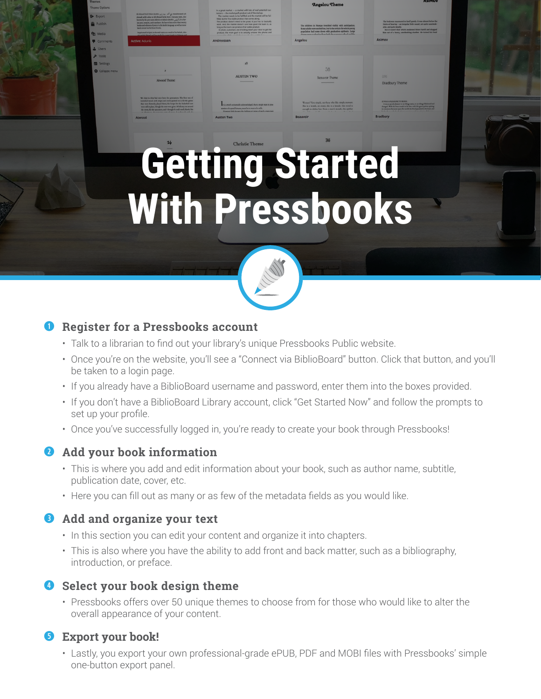# **Getting Started**  With Pressbooks



### **Q** Register for a Pressbooks account

• Talk to a librarian to find out your library's unique Pressbooks Public website.

 $\frac{1}{2}$  in a great market  $-$  a remers  $-$  the market put<br>The market needs to in a gree<br>tomers<br>- The m<br>filled, by<br>The pro

\_\_\_\_\_ --------- -·------- .,.\_.,,..,.\_ ....... ----------.  $\mu$ ,  $\mu$  grad musikel — a musikel solit histoir of real protection to determine the musicial political probability and the statements with the filter the state of the base of the statement with the filtred and the filtr The market needs to be fulfilled and the market will be ful-<br>ed, thrube first viable product that comes along<br>le product doesn't need to be great: it just has to basically<br>six, and, the market doesn't care how good the tea product the main goal is to actually answer the phone and The product doesn't need to be prest. For example, and the same state and pair of the most doesn't care too go that the most particular than the product that under product that  $\frac{1}{2}$  and  $\frac{1}{2}$  and  $\frac{1}{2}$  and  $\$ 

**NUSTEN TWC** 

Angelou Theme

38<br>becuvoir Theme

The child<br>Some adu<br>populatio<br>Angelou

 $\begin{array}{l} \text{Solution:} \\ \begin{tabular}{l} \hline \text{Solution:} \\ \hline \text{In this case, the image model \\ \hline \text{In this case, the image model \\ \hline \text{In this case, the image model \\ \hline \text{In this case, the image model \\ \hline \text{In this case, the image model \\ \hline \text{In this case, the image model \\ \hline \text{In this case, the image model \\ \hline \text{In this case, the image model \\ \hline \text{In this case, the image model \\ \hline \text{In this case, the image model \\ \hline \text{In this case, the image model \\ \hline \text{In this case, the image model \\ \hline \text{In this case, the image model \\ \hline \text{$ 

- • Once you're on the website, you'll see a "Connect via BiblioBoard" button. Click that button, and you'll be taken to a login page.
- If you already have a BiblioBoard username and password, enter them into the boxes provided.
- • If you don't have a BiblioBoard Library account, click "Get Started Now" and follow the prompts to set up your profile.
- Once you've successfully logged in, you're ready to create your book through Pressbooks!

### **Add your book information**

- $\cdot$  This is where you add and edit information about your book, such as author name, subtitle, publication date, cover, etc.
- $\cdot$  Here you can fill out as many or as few of the metadata fields as you would like.

### **Add and organize your text**

- In this section you can edit your content and organize it into chapters.
- $\cdot$  This is also where you have the ability to add front and back matter, such as a bibliography, introduction, or preface.

## **4** Select your book design theme

• Pressbooks offers over 50 unique themes to choose from for those who would like to alter the overall appearance of your content.

### **Export your book!**

• Lastly, you export your own professional-grade ePUB, PDF and MOBI files with Pressbooks' simple one-button export panel.